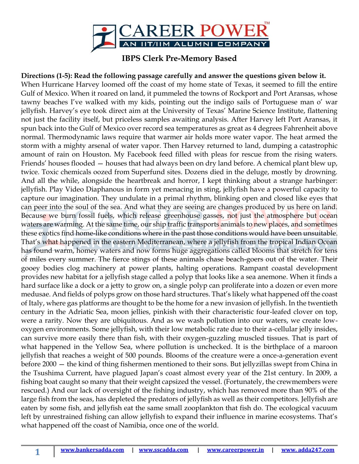

## **IBPS Clerk Pre-Memory Based**

**Directions (1-5): Read the following passage carefully and answer the questions given below it.**  When Hurricane Harvey loomed off the coast of my home state of Texas, it seemed to fill the entire Gulf of Mexico. When it roared on land, it pummeled the towns of Rockport and Port Aransas, whose tawny beaches I've walked with my kids, pointing out the indigo sails of Portuguese man o' war jellyfish. Harvey's eye took direct aim at the University of Texas' Marine Science Institute, flattening not just the facility itself, but priceless samples awaiting analysis. After Harvey left Port Aransas, it spun back into the Gulf of Mexico over record sea temperatures as great as 4 degrees Fahrenheit above normal. Thermodynamic laws require that warmer air holds more water vapor. The heat armed the storm with a mighty arsenal of water vapor. Then Harvey returned to land, dumping a catastrophic amount of rain on Houston. My Facebook feed filled with pleas for rescue from the rising waters. Friends' houses flooded — houses that had always been on dry land before. A chemical plant blew up, twice. Toxic chemicals oozed from Superfund sites. Dozens died in the deluge, mostly by drowning. And all the while, alongside the heartbreak and horror, I kept thinking about a strange harbinger: jellyfish. Play Video Diaphanous in form yet menacing in sting, jellyfish have a powerful capacity to capture our imagination. They undulate in a primal rhythm, blinking open and closed like eyes that can peer into the soul of the sea. And what they are seeing are changes produced by us here on land. Because we burn fossil fuels, which release greenhouse gasses, not just the atmosphere but ocean waters are warming. At the same time, our ship traffic transports animals to new places, and sometimes these exotics find home-like conditions where in the past those conditions would have been unsuitable. That's what happened in the eastern Mediterranean, where a jellyfish from the tropical Indian Ocean has found warm, homey waters and now forms huge aggregations called blooms that stretch for tens of miles every summer. The fierce stings of these animals chase beach-goers out of the water. Their gooey bodies clog machinery at power plants, halting operations. Rampant coastal development provides new habitat for a jellyfish stage called a polyp that looks like a sea anemone. When it finds a hard surface like a dock or a jetty to grow on, a single polyp can proliferate into a dozen or even more medusae. And fields of polyps grow on those hard structures. That's likely what happened off the coast of Italy, where gas platforms are thought to be the home for a new invasion of jellyfish. In the twentieth century in the Adriatic Sea, moon jellies, pinkish with their characteristic four-leafed clover on top, were a rarity. Now they are ubiquitous. And as we wash pollution into our waters, we create lowoxygen environments. Some jellyfish, with their low metabolic rate due to their a-cellular jelly insides, can survive more easily there than fish, with their oxygen-guzzling muscled tissues. That is part of what happened in the Yellow Sea, where pollution is unchecked. It is the birthplace of a maroon jellyfish that reaches a weight of 500 pounds. Blooms of the creature were a once-a-generation event before 2000 — the kind of thing fishermen mentioned to their sons. But jellyzillas swept from China in the Tsushima Current, have plagued Japan's coast almost every year of the 21st century. In 2009, a fishing boat caught so many that their weight capsized the vessel. (Fortunately, the crewmembers were rescued.) And our lack of oversight of the fishing industry, which has removed more than 90% of the large fish from the seas, has depleted the predators of jellyfish as well as their competitors. Jellyfish are eaten by some fish, and jellyfish eat the same small zooplankton that fish do. The ecological vacuum left by unrestrained fishing can allow jellyfish to expand their influence in marine ecosystems. That's what happened off the coast of Namibia, once one of the world.

**1**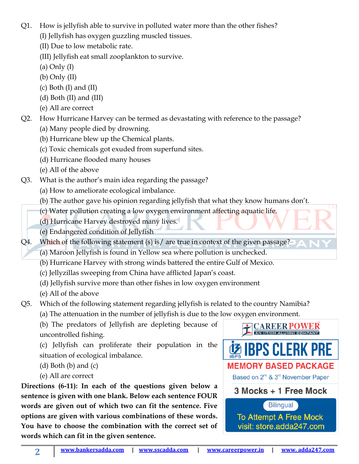- Q1. How is jellyfish able to survive in polluted water more than the other fishes? (I) Jellyfish has oxygen guzzling muscled tissues.
	- (II) Due to low metabolic rate.
	- (III) Jellyfish eat small zooplankton to survive.
	- (a) Only (I)
	- (b) Only (II)
	- $(c)$  Both  $(I)$  and  $(II)$
	- (d) Both (II) and (III)
	- (e) All are correct

Q2. How Hurricane Harvey can be termed as devastating with reference to the passage?

- (a) Many people died by drowning.
- (b) Hurricane blew up the Chemical plants.
- (c) Toxic chemicals got exuded from superfund sites.
- (d) Hurricane flooded many houses
- (e) All of the above
- Q3. What is the author's main idea regarding the passage?
	- (a) How to ameliorate ecological imbalance.
	- (b) The author gave his opinion regarding jellyfish that what they know humans don't.
	- (c) Water pollution creating a low oxygen environment affecting aquatic life.
	- (d) Hurricane Harvey destroyed many lives.
	- (e) Endangered condition of Jellyfish

Q4. Which of the following statement (s) is/ are true in context of the given passage?

- (a) Maroon Jellyfish is found in Yellow sea where pollution is unchecked.
- (b) Hurricane Harvey with strong winds battered the entire Gulf of Mexico.
- (c) Jellyzillas sweeping from China have afflicted Japan's coast.
- (d) Jellyfish survive more than other fishes in low oxygen environment
- (e) All of the above

Q5. Which of the following statement regarding jellyfish is related to the country Namibia?

(a) The attenuation in the number of jellyfish is due to the low oxygen environment.

(b) The predators of Jellyfish are depleting because of uncontrolled fishing.

(c) Jellyfish can proliferate their population in the situation of ecological imbalance.

 $(d)$  Both  $(b)$  and  $(c)$ 

(e) All are correct

**Directions (6-11): In each of the questions given below a sentence is given with one blank. Below each sentence FOUR words are given out of which two can fit the sentence. Five options are given with various combinations of these words. You have to choose the combination with the correct set of words which can fit in the given sentence.**

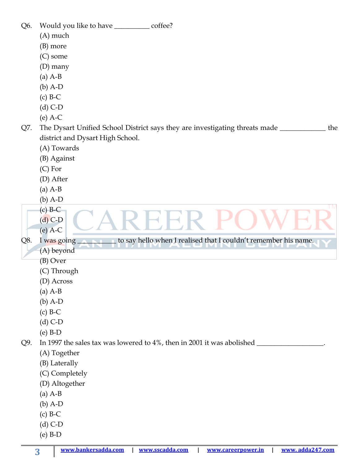| Q6. | Would you like to have _____________ coffee?<br>(A) much<br>(B) more<br>(C) some<br>$(D)$ many<br>$(a)$ A-B<br>$(b)$ A-D<br>$(c)$ B-C<br>$(d)$ C-D                                                       |
|-----|----------------------------------------------------------------------------------------------------------------------------------------------------------------------------------------------------------|
| Q7. | $(e)$ A-C<br>The Dysart Unified School District says they are investigating threats made<br>the<br>district and Dysart High School.<br>(A) Towards<br>(B) Against<br>$(C)$ For<br>(D) After<br>$(a)$ A-B |
|     | $(b)$ A-D<br>TΜ<br>$(c)$ B-C<br>$(d)$ C-D<br>$(e)$ A-C                                                                                                                                                   |
| Q8. | to say hello when I realised that I couldn't remember his name.<br>I was going                                                                                                                           |
|     | (A) beyond                                                                                                                                                                                               |
|     | (B) Over                                                                                                                                                                                                 |
|     | (C) Through                                                                                                                                                                                              |
|     | (D) Across<br>$(a)$ A-B                                                                                                                                                                                  |
|     | $(b)$ A-D                                                                                                                                                                                                |
|     | $(c)$ B-C                                                                                                                                                                                                |
|     | $(d)$ C-D                                                                                                                                                                                                |
|     | $(e)$ B-D                                                                                                                                                                                                |
| Q9. | In 1997 the sales tax was lowered to 4%, then in 2001 it was abolished                                                                                                                                   |
|     | (A) Together                                                                                                                                                                                             |
|     | (B) Laterally                                                                                                                                                                                            |
|     | (C) Completely                                                                                                                                                                                           |
|     | (D) Altogether                                                                                                                                                                                           |
|     | $(a)$ A-B<br>$(b)$ A-D                                                                                                                                                                                   |
|     | $(c)$ B-C                                                                                                                                                                                                |
|     | $(d)$ C-D                                                                                                                                                                                                |
|     | $(e)$ B-D                                                                                                                                                                                                |
|     |                                                                                                                                                                                                          |

**[www.bankersadda.com](http://www.bankersadda.com/) | [www.sscadda.com](http://www.sscadda.com/) | [www.careerpower.in](http://www.careerpower.in/) | [www. adda247.com](http://www.careeradda.co.in/)**

**3**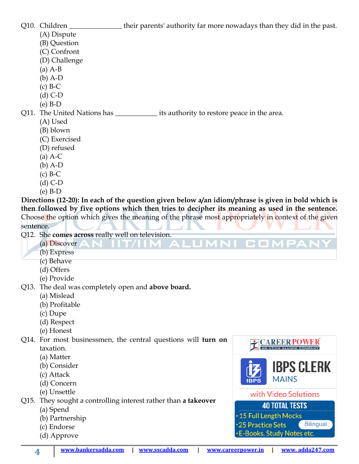Q10. Children \_\_\_\_\_\_\_\_\_\_\_\_\_\_\_\_\_their parents' authority far more nowadays than they did in the past.

- (A) Dispute
- (B) Question
- (C) Confront
- (D) Challenge
- (a) A-B
- (b) A-D
- (c) B-C
- (d) C-D
- (e) B-D
- Q11. The United Nations has \_\_\_\_\_\_\_\_\_\_\_\_ its authority to restore peace in the area.
	- (A) Used
	- (B) blown
	- (C) Exercised
	- (D) refused
	- (a) A-C
	- (b) A-D
	- $(c)$  B-C
	- (d) C-D
	- (e) B-D

**Directions (12-20): In each of the question given below a/an idiom/phrase is given in bold which is then followed by five options which then tries to decipher its meaning as used in the sentence.**  Choose the option which gives the meaning of the phrase most appropriately in context of the given sentence.

AL.

- Q12. She **comes across** really well on television.
	- (a) Discover
	- (b) Express
	- (c) Behave
	- (d) Offers
	- (e) Provide
- Q13. The deal was completely open and **above board.**
	- (a) Mislead
	- (b) Profitable
	- (c) Dupe
	- (d) Respect
	- (e) Honest

Q14. For most businessmen, the central questions will **turn on**  taxation.

- (a) Matter
- (b) Consider
- (c) Attack
- (d) Concern
- (e) Unsettle

Q15. They sought a controlling interest rather than **a takeover**

- (a) Spend
- (b) Partnership
- (c) Endorse
- (d) Approve



COMPAN

.15 Full Length Mocks \*25 Practice Sets **Bilingual** E-Books, Study Notes etc.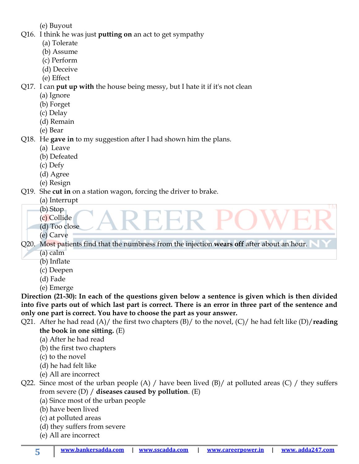(e) Buyout

- Q16. I think he was just **putting on** an act to get sympathy
	- (a) Tolerate
	- (b) Assume
	- (c) Perform
	- (d) Deceive
	- (e) Effect

Q17. I can **put up with** the house being messy, but I hate it if it's not clean

- (a) Ignore
- (b) Forget
- (c) Delay
- (d) Remain
- (e) Bear

Q18. He **gave in** to my suggestion after I had shown him the plans.

- (a) Leave
- (b) Defeated
- (c) Defy
- (d) Agree
- (e) Resign

Q19. She **cut in** on a station wagon, forcing the driver to brake.

- (a) Interrupt
- (b) Stop
- (c) Collide
- (d) Too close
- (e) Carve

Q20. Most patients find that the numbness from the injection **wears off** after about an hour.

- (a) calm
- (b) Inflate
- (c) Deepen
- (d) Fade
- (e) Emerge

**Direction (21-30): In each of the questions given below a sentence is given which is then divided into five parts out of which last part is correct. There is an error in three part of the sentence and only one part is correct. You have to choose the part as your answer.**

- Q21. After he had read (A)/ the first two chapters (B)/ to the novel, (C)/ he had felt like (D)/**reading the book in one sitting.** (E)
	- (a) After he had read
	- (b) the first two chapters
	- (c) to the novel
	- (d) he had felt like
	- (e) All are incorrect
- Q22. Since most of the urban people (A) / have been lived (B)/ at polluted areas (C) / they suffers from severe (D) / **diseases caused by pollution**. (E)
	- (a) Since most of the urban people
	- (b) have been lived
	- (c) at polluted areas
	- (d) they suffers from severe
	- (e) All are incorrect

**5**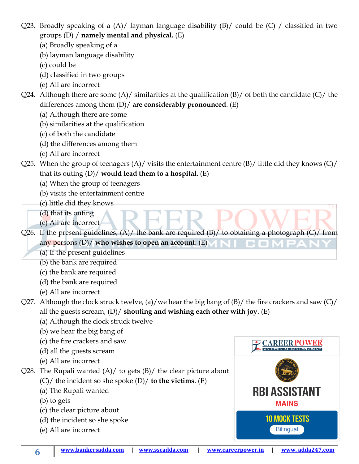Q23. Broadly speaking of a (A)/ layman language disability (B)/ could be (C) / classified in two groups (D) / **namely mental and physical.** (E)

- (a) Broadly speaking of a
- (b) layman language disability
- (c) could be
- (d) classified in two groups
- (e) All are incorrect

Q24. Although there are some  $(A)/$  similarities at the qualification  $(B)/$  of both the candidate  $(C)/$  the differences among them (D)/ **are considerably pronounced**. (E)

- (a) Although there are some
- (b) similarities at the qualification
- (c) of both the candidate
- (d) the differences among them
- (e) All are incorrect
- Q25. When the group of teenagers  $(A)/$  visits the entertainment centre  $(B)/$  little did they knows  $(C)/$ that its outing (D)/ **would lead them to a hospital**. (E)
	- (a) When the group of teenagers
	- (b) visits the entertainment centre
	- (c) little did they knows
	- (d) that its outing
	- (e) All are incorrect

Q26. If the present guidelines,  $(A)$  the bank are required  $(B)$  to obtaining a photograph  $(C)$  from any persons (D)/ **who wishes to open an account**. (E) n an I

- (a) If the present guidelines
- (b) the bank are required
- (c) the bank are required
- (d) the bank are required
- (e) All are incorrect
- Q27. Although the clock struck twelve, (a)/we hear the big bang of  $(B)$ / the fire crackers and saw  $(C)$ / all the guests scream, (D)/ **shouting and wishing each other with joy**. (E)
	- (a) Although the clock struck twelve
	- (b) we hear the big bang of
	- (c) the fire crackers and saw
	- (d) all the guests scream
	- (e) All are incorrect

Q28. The Rupali wanted  $(A)/$  to gets  $(B)/$  the clear picture about

- (C)/ the incident so she spoke (D)/ **to the victims**. (E)
- (a) The Rupali wanted
- (b) to gets
- (c) the clear picture about
- (d) the incident so she spoke
- (e) All are incorrect